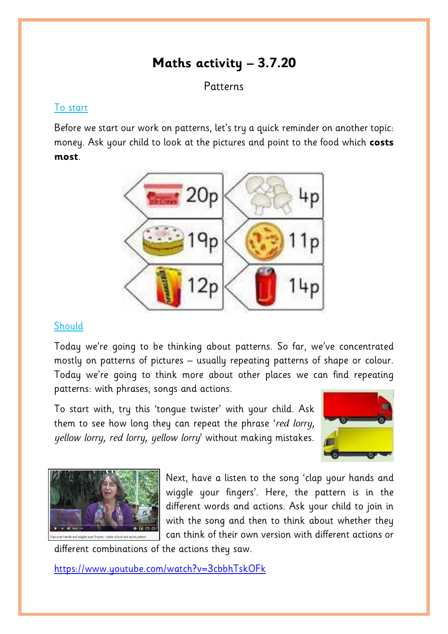# **Maths activity – 3.7.20**

### **Patterns**

#### To start

Before we start our work on patterns, let's try a quick reminder on another topic: money. Ask your child to look at the pictures and point to the food which **costs most**.



#### **Should**

Today we're going to be thinking about patterns. So far, we've concentrated mostly on patterns of pictures – usually repeating patterns of shape or colour. Today we're going to think more about other places we can find repeating patterns: with phrases, songs and actions.

To start with, try this 'tongue twister' with your child. Ask them to see how long they can repeat the phrase '*red lorry, yellow lorry, red lorry, yellow lorry*' without making mistakes.





Next, have a listen to the song 'clap your hands and wiggle your fingers'. Here, the pattern is in the different words and actions. Ask your child to join in with the song and then to think about whether they can think of their own version with different actions or

different combinations of the actions they saw.

<https://www.youtube.com/watch?v=3cbbhTskOFk>